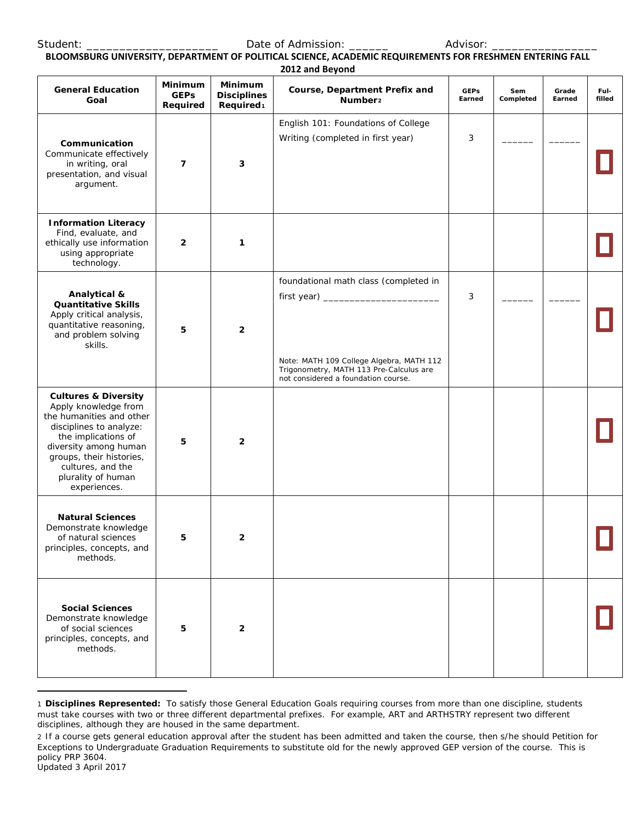Student: \_\_\_\_\_\_\_\_\_\_\_\_\_\_\_\_\_\_\_\_\_\_\_\_\_\_\_\_\_\_\_\_\_Date of Admission: \_\_\_\_\_\_\_\_\_\_\_\_\_\_\_\_\_\_\_ Advisor:

#### **BLOOMSBURG UNIVERSITY, DEPARTMENT OF POLITICAL SCIENCE, ACADEMIC REQUIREMENTS FOR FRESHMEN ENTERING FALL 2012 and Beyond**

|                                                                                                                                                                                                                                                       |                                           |                                                        | ZUIZ diiu beyunu                                                                                                                                                    |                       |                  |                 |                |
|-------------------------------------------------------------------------------------------------------------------------------------------------------------------------------------------------------------------------------------------------------|-------------------------------------------|--------------------------------------------------------|---------------------------------------------------------------------------------------------------------------------------------------------------------------------|-----------------------|------------------|-----------------|----------------|
| <b>General Education</b><br>Goal                                                                                                                                                                                                                      | <b>Minimum</b><br><b>GEPs</b><br>Required | Minimum<br><b>Disciplines</b><br>Required <sub>1</sub> | Course, Department Prefix and<br>Number <sub>2</sub>                                                                                                                | <b>GEPs</b><br>Earned | Sem<br>Completed | Grade<br>Earned | Ful-<br>filled |
| Communication<br>Communicate effectively<br>in writing, oral<br>presentation, and visual<br>argument.                                                                                                                                                 | $\overline{7}$                            | 3                                                      | English 101: Foundations of College<br>Writing (completed in first year)                                                                                            | 3                     |                  |                 |                |
| <b>Information Literacy</b><br>Find, evaluate, and<br>ethically use information<br>using appropriate<br>technology.                                                                                                                                   | $\overline{2}$                            | $\mathbf 1$                                            |                                                                                                                                                                     |                       |                  |                 |                |
| Analytical &<br><b>Quantitative Skills</b><br>Apply critical analysis,<br>quantitative reasoning,<br>and problem solving<br>skills.                                                                                                                   | 5                                         | $\overline{2}$                                         | foundational math class (completed in<br>Note: MATH 109 College Algebra, MATH 112<br>Trigonometry, MATH 113 Pre-Calculus are<br>not considered a foundation course. | 3                     |                  |                 |                |
| <b>Cultures &amp; Diversity</b><br>Apply knowledge from<br>the humanities and other<br>disciplines to analyze:<br>the implications of<br>diversity among human<br>groups, their histories,<br>cultures, and the<br>plurality of human<br>experiences. | 5                                         | $\mathbf{2}$                                           |                                                                                                                                                                     |                       |                  |                 |                |
| <b>Natural Sciences</b><br>Demonstrate knowledge<br>of natural sciences<br>principles, concepts, and<br>methods.                                                                                                                                      | 5                                         | 2                                                      |                                                                                                                                                                     |                       |                  |                 |                |
| <b>Social Sciences</b><br>Demonstrate knowledge<br>of social sciences<br>principles, concepts, and<br>methods.                                                                                                                                        | 5                                         | $\mathbf{2}$                                           |                                                                                                                                                                     |                       |                  |                 |                |

<span id="page-0-0"></span><sup>1</sup> **Disciplines Represented:** To satisfy those General Education Goals requiring courses from more than one discipline, students must take courses with two or three different departmental prefixes. For example, ART and ARTHSTRY represent two different disciplines, although they are housed in the same department.

l

<span id="page-0-1"></span><sup>2</sup> If a course gets general education approval after the student has been admitted and taken the course, then s/he should Petition for Exceptions to Undergraduate Graduation Requirements to substitute old for the newly approved GEP version of the course. This is policy PRP 3604.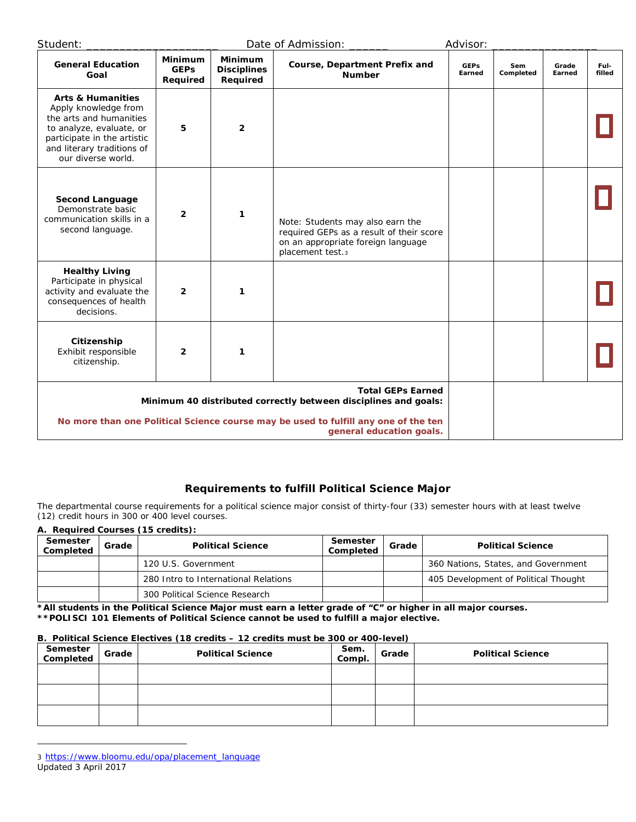| Student:                                                                                                                                                                                       |                                           |                                                  | Date of Admission:                                                                                                                     | Advisor:              |                  |                 |                |
|------------------------------------------------------------------------------------------------------------------------------------------------------------------------------------------------|-------------------------------------------|--------------------------------------------------|----------------------------------------------------------------------------------------------------------------------------------------|-----------------------|------------------|-----------------|----------------|
| <b>General Education</b><br>Goal                                                                                                                                                               | <b>Minimum</b><br><b>GEPs</b><br>Required | <b>Minimum</b><br><b>Disciplines</b><br>Required | Course, Department Prefix and<br><b>Number</b>                                                                                         | <b>GEPs</b><br>Earned | Sem<br>Completed | Grade<br>Earned | Ful-<br>filled |
| <b>Arts &amp; Humanities</b><br>Apply knowledge from<br>the arts and humanities<br>to analyze, evaluate, or<br>participate in the artistic<br>and literary traditions of<br>our diverse world. | 5                                         | $\overline{2}$                                   |                                                                                                                                        |                       |                  |                 |                |
| <b>Second Language</b><br>Demonstrate basic<br>communication skills in a<br>second language.                                                                                                   | $\overline{2}$                            | $\mathbf{1}$                                     | Note: Students may also earn the<br>required GEPs as a result of their score<br>on an appropriate foreign language<br>placement test.3 |                       |                  |                 |                |
| <b>Healthy Living</b><br>Participate in physical<br>activity and evaluate the<br>consequences of health<br>decisions.                                                                          | $\overline{2}$                            | 1                                                |                                                                                                                                        |                       |                  |                 |                |
| Citizenship<br>Exhibit responsible<br>citizenship.                                                                                                                                             | $\overline{2}$                            | 1                                                |                                                                                                                                        |                       |                  |                 |                |
| Minimum 40 distributed correctly between disciplines and goals:                                                                                                                                |                                           |                                                  |                                                                                                                                        |                       |                  |                 |                |
| No more than one Political Science course may be used to fulfill any one of the ten                                                                                                            |                                           |                                                  |                                                                                                                                        |                       |                  |                 |                |

# **Requirements to fulfill Political Science Major**

The departmental course requirements for a political science major consist of thirty-four (33) semester hours with at least twelve (12) credit hours in 300 or 400 level courses.

| A. Required Courses (15 credits): |       |                                      |                       |       |                                      |  |  |
|-----------------------------------|-------|--------------------------------------|-----------------------|-------|--------------------------------------|--|--|
| Semester<br>Completed             | Grade | <b>Political Science</b>             | Semester<br>Completed | Grade | <b>Political Science</b>             |  |  |
|                                   |       | 120 U.S. Government                  |                       |       | 360 Nations, States, and Government  |  |  |
|                                   |       | 280 Intro to International Relations |                       |       | 405 Development of Political Thought |  |  |
|                                   |       | 300 Political Science Research       |                       |       |                                      |  |  |

**\*All students in the Political Science Major must earn a letter grade of "C" or higher in all major courses. \*\*POLISCI 101 Elements of Political Science cannot be used to fulfill a major elective.**

#### **B. Political Science Electives (18 credits – 12 credits must be 300 or 400-level)**

| Semester  <br>Completed | Grade | <b>Political Science</b> | Sem.<br>Compl. | Grade | <b>Political Science</b> |
|-------------------------|-------|--------------------------|----------------|-------|--------------------------|
|                         |       |                          |                |       |                          |
|                         |       |                          |                |       |                          |
|                         |       |                          |                |       |                          |

<span id="page-1-0"></span>Updated 3 April 2017 3 [https://www.bloomu.edu/opa/placement\\_language](https://www.bloomu.edu/opa/placement_language)

l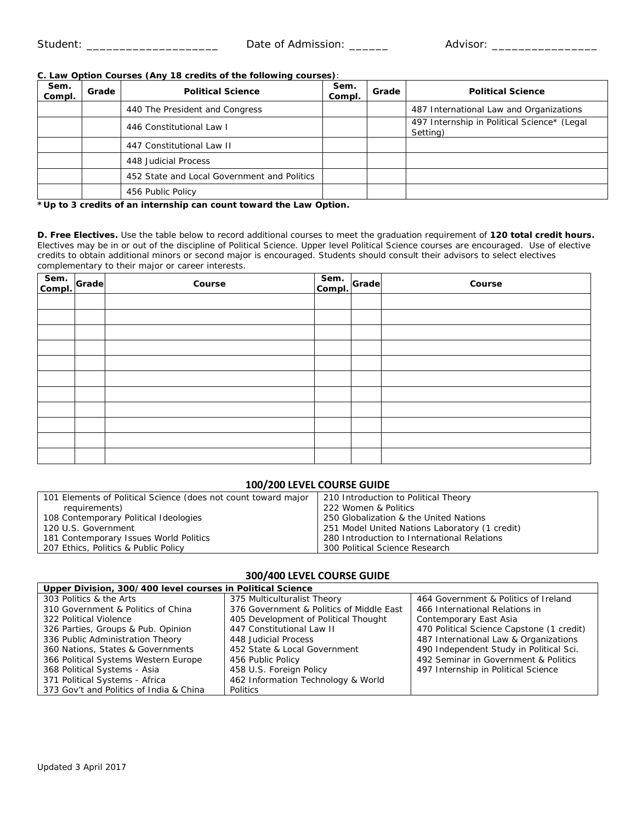## **C. Law Option Courses (Any 18 credits of the following courses)**:

| Sem.<br>Compl. | Grade | <b>Political Science</b>                    | Sem.<br>Compl. | Grade | <b>Political Science</b>                                |
|----------------|-------|---------------------------------------------|----------------|-------|---------------------------------------------------------|
|                |       | 440 The President and Congress              |                |       | 487 International Law and Organizations                 |
|                |       | 446 Constitutional Law I                    |                |       | 497 Internship in Political Science* (Legal<br>Setting) |
|                |       | 447 Constitutional Law II                   |                |       |                                                         |
|                |       | 448 Judicial Process                        |                |       |                                                         |
|                |       | 452 State and Local Government and Politics |                |       |                                                         |
|                |       | 456 Public Policy                           |                |       |                                                         |

**\*Up to 3 credits of an internship can count toward the Law Option.**

**D. Free Electives.** Use the table below to record additional courses to meet the graduation requirement of **120 total credit hours.** Electives may be in or out of the discipline of Political Science. Upper level Political Science courses are encouraged. Use of elective credits to obtain additional minors or second major is encouraged. Students should consult their advisors to select electives complementary to their major or career interests.

| Sem. Grade | Course | Sem.<br>Compl. | Grade | Course |
|------------|--------|----------------|-------|--------|
|            |        |                |       |        |
|            |        |                |       |        |
|            |        |                |       |        |
|            |        |                |       |        |
|            |        |                |       |        |
|            |        |                |       |        |
|            |        |                |       |        |
|            |        |                |       |        |
|            |        |                |       |        |
|            |        |                |       |        |
|            |        |                |       |        |

## **100/200 LEVEL COURSE GUIDE**

| 101 Elements of Political Science (does not count toward major | 210 Introduction to Political Theory           |
|----------------------------------------------------------------|------------------------------------------------|
| requirements)                                                  | 222 Women & Politics                           |
| 108 Contemporary Political Ideologies                          | 250 Globalization & the United Nations         |
| 120 U.S. Government                                            | 251 Model United Nations Laboratory (1 credit) |
| 181 Contemporary Issues World Politics                         | 280 Introduction to International Relations    |
| 207 Ethics, Politics & Public Policy                           | 300 Political Science Research                 |
|                                                                |                                                |

#### **300/400 LEVEL COURSE GUIDE**

| Upper Division, 300/400 level courses in Political Science |                                          |                                           |  |  |  |  |  |  |
|------------------------------------------------------------|------------------------------------------|-------------------------------------------|--|--|--|--|--|--|
| 303 Politics & the Arts                                    | 375 Multiculturalist Theory              | 464 Government & Politics of Ireland      |  |  |  |  |  |  |
| 310 Government & Politics of China                         | 376 Government & Politics of Middle East | 466 International Relations in            |  |  |  |  |  |  |
| 322 Political Violence                                     | 405 Development of Political Thought     | Contemporary East Asia                    |  |  |  |  |  |  |
| 326 Parties, Groups & Pub. Opinion                         | 447 Constitutional Law II                | 470 Political Science Capstone (1 credit) |  |  |  |  |  |  |
| 336 Public Administration Theory                           | 448 Judicial Process                     | 487 International Law & Organizations     |  |  |  |  |  |  |
| 360 Nations, States & Governments                          | 452 State & Local Government             | 490 Independent Study in Political Sci.   |  |  |  |  |  |  |
| 366 Political Systems Western Europe                       | 456 Public Policy                        | 492 Seminar in Government & Politics      |  |  |  |  |  |  |
| 368 Political Systems - Asia                               | 458 U.S. Foreign Policy                  | 497 Internship in Political Science       |  |  |  |  |  |  |
| 371 Political Systems - Africa                             | 462 Information Technology & World       |                                           |  |  |  |  |  |  |
| 373 Gov't and Politics of India & China                    | <b>Politics</b>                          |                                           |  |  |  |  |  |  |